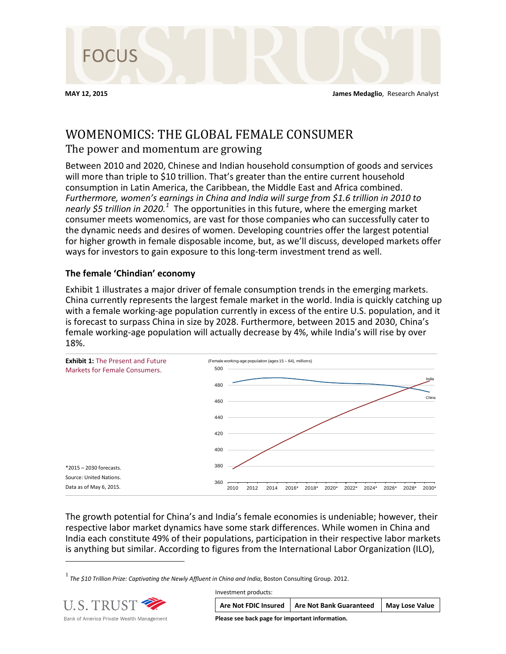

# WOMENOMICS: THE GLOBAL FEMALE CONSUMER

## The power and momentum are growing

Between 2010 and 2020, Chinese and Indian household consumption of goods and services will more than triple to \$10 trillion. That's greater than the entire current household consumption in Latin America, the Caribbean, the Middle East and Africa combined. *Furthermore, women's earnings in China and India will surge from \$1.6 trillion in 2010 to nearly \$5 trillion in 2020.[1](#page-0-0)* The opportunities in this future, where the emerging market consumer meets womenomics, are vast for those companies who can successfully cater to the dynamic needs and desires of women. Developing countries offer the largest potential for higher growth in female disposable income, but, as we'll discuss, developed markets offer ways for investors to gain exposure to this long-term investment trend as well.

### **The female 'Chindian' economy**

Exhibit 1 illustrates a major driver of female consumption trends in the emerging markets. China currently represents the largest female market in the world. India is quickly catching up with a female working-age population currently in excess of the entire U.S. population, and it is forecast to surpass China in size by 2028. Furthermore, between 2015 and 2030, China's female working-age population will actually decrease by 4%, while India's will rise by over 18%.



The growth potential for China's and India's female economies is undeniable; however, their respective labor market dynamics have some stark differences. While women in China and India each constitute 49% of their populations, participation in their respective labor markets is anything but similar. According to figures from the International Labor Organization (ILO),

 $^{\rm 1}$  The \$10 Trillion Prize: Captivating the Newly Affluent in China and India, Boston Consulting Group. 2012.

<span id="page-0-0"></span>

 $\overline{a}$ 

| Investment products:                            |                                                |                       |
|-------------------------------------------------|------------------------------------------------|-----------------------|
|                                                 | Are Not FDIC Insured   Are Not Bank Guaranteed | <b>May Lose Value</b> |
| Please see back page for important information. |                                                |                       |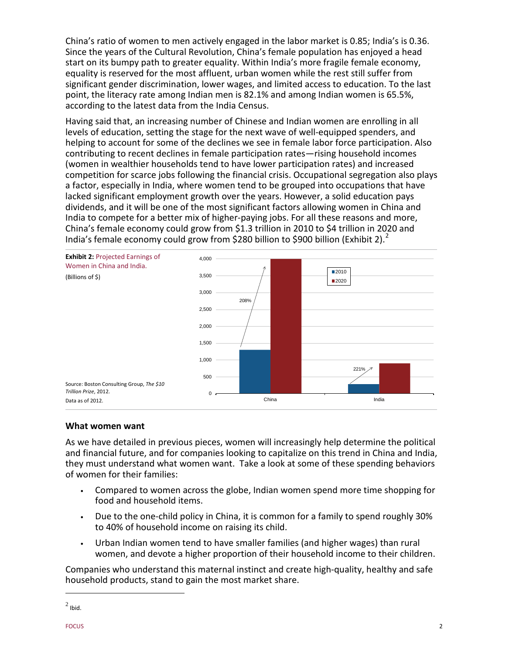China's ratio of women to men actively engaged in the labor market is 0.85; India's is 0.36. Since the years of the Cultural Revolution, China's female population has enjoyed a head start on its bumpy path to greater equality. Within India's more fragile female economy, equality is reserved for the most affluent, urban women while the rest still suffer from significant gender discrimination, lower wages, and limited access to education. To the last point, the literacy rate among Indian men is 82.1% and among Indian women is 65.5%, according to the latest data from the India Census.

Having said that, an increasing number of Chinese and Indian women are enrolling in all levels of education, setting the stage for the next wave of well-equipped spenders, and helping to account for some of the declines we see in female labor force participation. Also contributing to recent declines in female participation rates—rising household incomes (women in wealthier households tend to have lower participation rates) and increased competition for scarce jobs following the financial crisis. Occupational segregation also plays a factor, especially in India, where women tend to be grouped into occupations that have lacked significant employment growth over the years. However, a solid education pays dividends, and it will be one of the most significant factors allowing women in China and India to compete for a better mix of higher-paying jobs. For all these reasons and more, China's female economy could grow from \$1.3 trillion in 2010 to \$4 trillion in 2020 and India's female economy could grow from \$[2](#page-1-0)80 billion to \$900 billion (Exhibit 2).<sup>2</sup>



#### **What women want**

As we have detailed in previous pieces, women will increasingly help determine the political and financial future, and for companies looking to capitalize on this trend in China and India, they must understand what women want. Take a look at some of these spending behaviors of women for their families:

- Compared to women across the globe, Indian women spend more time shopping for food and household items.
- Due to the one-child policy in China, it is common for a family to spend roughly 30% to 40% of household income on raising its child.
- Urban Indian women tend to have smaller families (and higher wages) than rural women, and devote a higher proportion of their household income to their children.

Companies who understand this maternal instinct and create high-quality, healthy and safe household products, stand to gain the most market share.

 $\overline{a}$ 

<span id="page-1-0"></span> $<sup>2</sup>$  Ibid.</sup>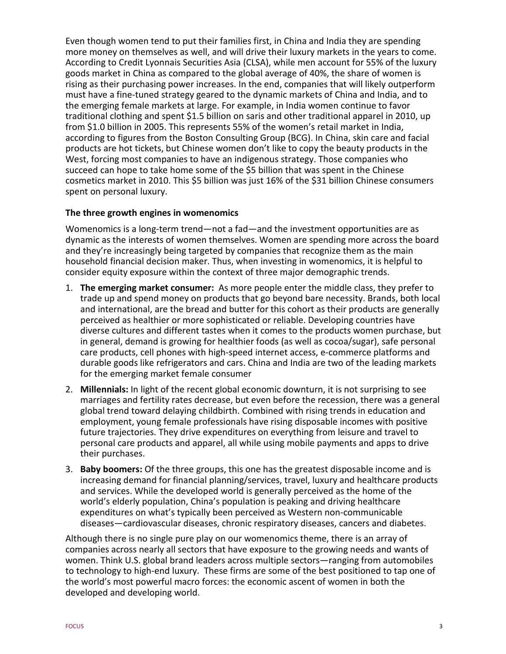Even though women tend to put their families first, in China and India they are spending more money on themselves as well, and will drive their luxury markets in the years to come. According to Credit Lyonnais Securities Asia (CLSA), while men account for 55% of the luxury goods market in China as compared to the global average of 40%, the share of women is rising as their purchasing power increases. In the end, companies that will likely outperform must have a fine-tuned strategy geared to the dynamic markets of China and India, and to the emerging female markets at large. For example, in India women continue to favor traditional clothing and spent \$1.5 billion on saris and other traditional apparel in 2010, up from \$1.0 billion in 2005. This represents 55% of the women's retail market in India, according to figures from the Boston Consulting Group (BCG). In China, skin care and facial products are hot tickets, but Chinese women don't like to copy the beauty products in the West, forcing most companies to have an indigenous strategy. Those companies who succeed can hope to take home some of the \$5 billion that was spent in the Chinese cosmetics market in 2010. This \$5 billion was just 16% of the \$31 billion Chinese consumers spent on personal luxury.

#### **The three growth engines in womenomics**

Womenomics is a long-term trend—not a fad—and the investment opportunities are as dynamic as the interests of women themselves. Women are spending more across the board and they're increasingly being targeted by companies that recognize them as the main household financial decision maker. Thus, when investing in womenomics, it is helpful to consider equity exposure within the context of three major demographic trends.

- 1. **The emerging market consumer:** As more people enter the middle class, they prefer to trade up and spend money on products that go beyond bare necessity. Brands, both local and international, are the bread and butter for this cohort as their products are generally perceived as healthier or more sophisticated or reliable. Developing countries have diverse cultures and different tastes when it comes to the products women purchase, but in general, demand is growing for healthier foods (as well as cocoa/sugar), safe personal care products, cell phones with high-speed internet access, e-commerce platforms and durable goods like refrigerators and cars. China and India are two of the leading markets for the emerging market female consumer
- 2. **Millennials:** In light of the recent global economic downturn, it is not surprising to see marriages and fertility rates decrease, but even before the recession, there was a general global trend toward delaying childbirth. Combined with rising trends in education and employment, young female professionals have rising disposable incomes with positive future trajectories. They drive expenditures on everything from leisure and travel to personal care products and apparel, all while using mobile payments and apps to drive their purchases.
- 3. **Baby boomers:** Of the three groups, this one has the greatest disposable income and is increasing demand for financial planning/services, travel, luxury and healthcare products and services. While the developed world is generally perceived as the home of the world's elderly population, China's population is peaking and driving healthcare expenditures on what's typically been perceived as Western non-communicable diseases—cardiovascular diseases, chronic respiratory diseases, cancers and diabetes.

Although there is no single pure play on our womenomics theme, there is an array of companies across nearly all sectors that have exposure to the growing needs and wants of women. Think U.S. global brand leaders across multiple sectors—ranging from automobiles to technology to high-end luxury. These firms are some of the best positioned to tap one of the world's most powerful macro forces: the economic ascent of women in both the developed and developing world.